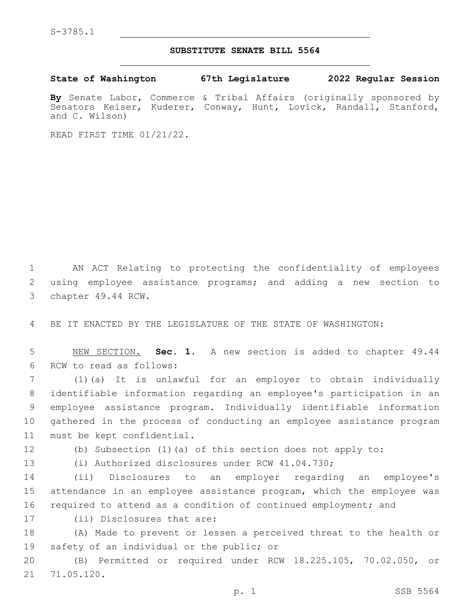## **SUBSTITUTE SENATE BILL 5564**

**State of Washington 67th Legislature 2022 Regular Session**

**By** Senate Labor, Commerce & Tribal Affairs (originally sponsored by Senators Keiser, Kuderer, Conway, Hunt, Lovick, Randall, Stanford, and C. Wilson)

READ FIRST TIME 01/21/22.

1 AN ACT Relating to protecting the confidentiality of employees 2 using employee assistance programs; and adding a new section to 3 chapter 49.44 RCW.

4 BE IT ENACTED BY THE LEGISLATURE OF THE STATE OF WASHINGTON:

5 NEW SECTION. **Sec. 1.** A new section is added to chapter 49.44 6 RCW to read as follows:

 (1)(a) It is unlawful for an employer to obtain individually identifiable information regarding an employee's participation in an employee assistance program. Individually identifiable information gathered in the process of conducting an employee assistance program 11 must be kept confidential.

12 (b) Subsection (1)(a) of this section does not apply to:

13 (i) Authorized disclosures under RCW 41.04.730;

14 (ii) Disclosures to an employer regarding an employee's 15 attendance in an employee assistance program, which the employee was 16 required to attend as a condition of continued employment; and

17 (ii) Disclosures that are:

18 (A) Made to prevent or lessen a perceived threat to the health or 19 safety of an individual or the public; or

20 (B) Permitted or required under RCW 18.225.105, 70.02.050, or 21 71.05.120.